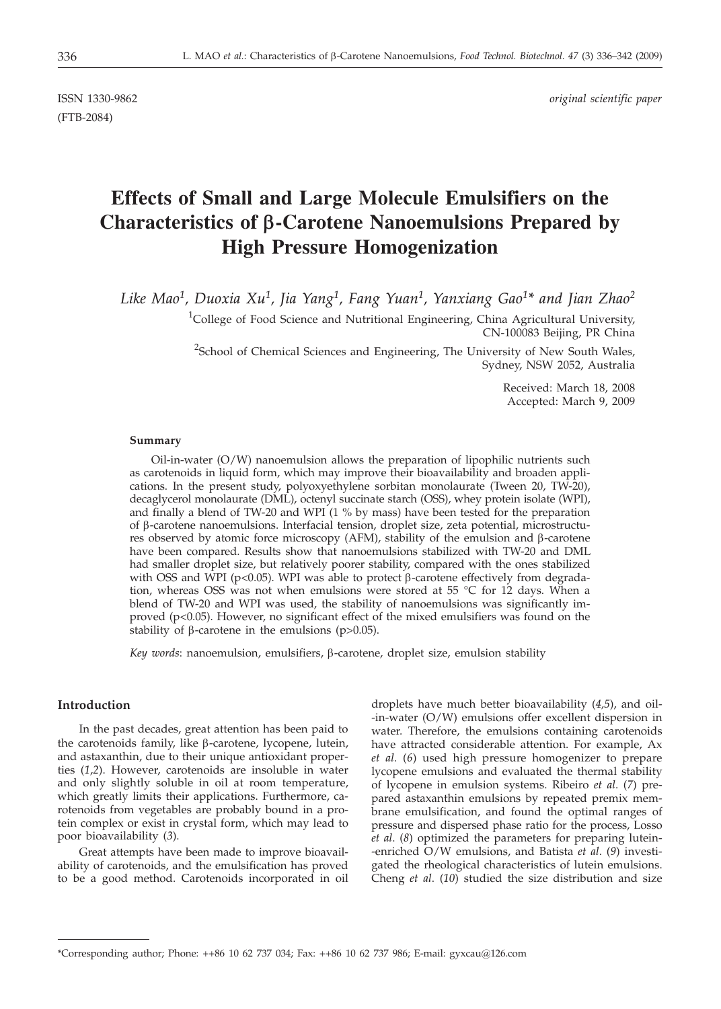(FTB-2084)

ISSN 1330-9862 *original scientific paper*

# **Effects of Small and Large Molecule Emulsifiers on the Characteristics of b-Carotene Nanoemulsions Prepared by High Pressure Homogenization**

*Like Mao1, Duoxia Xu1, Jia Yang1, Fang Yuan1, Yanxiang Gao1\* and Jian Zhao2*

<sup>1</sup>College of Food Science and Nutritional Engineering, China Agricultural University, CN-100083 Beijing, PR China

<sup>2</sup>School of Chemical Sciences and Engineering, The University of New South Wales, Sydney, NSW 2052, Australia

> Received: March 18, 2008 Accepted: March 9, 2009

## **Summary**

Oil-in-water (O/W) nanoemulsion allows the preparation of lipophilic nutrients such as carotenoids in liquid form, which may improve their bioavailability and broaden applications. In the present study, polyoxyethylene sorbitan monolaurate (Tween 20, TW-20), decaglycerol monolaurate (DML), octenyl succinate starch (OSS), whey protein isolate (WPI), and finally a blend of TW-20 and WPI (1 % by mass) have been tested for the preparation of b-carotene nanoemulsions. Interfacial tension, droplet size, zeta potential, microstructures observed by atomic force microscopy (AFM), stability of the emulsion and  $\beta$ -carotene have been compared. Results show that nanoemulsions stabilized with TW-20 and DML had smaller droplet size, but relatively poorer stability, compared with the ones stabilized with OSS and WPI ( $p$ <0.05). WPI was able to protect  $\beta$ -carotene effectively from degradation, whereas OSS was not when emulsions were stored at 55 °C for 12 days. When a blend of TW-20 and WPI was used, the stability of nanoemulsions was significantly improved (p<0.05). However, no significant effect of the mixed emulsifiers was found on the stability of  $\beta$ -carotene in the emulsions (p>0.05).

*Key words*: nanoemulsion, emulsifiers,  $\beta$ -carotene, droplet size, emulsion stability

## **Introduction**

In the past decades, great attention has been paid to the carotenoids family, like  $\beta$ -carotene, lycopene, lutein, and astaxanthin, due to their unique antioxidant properties (*1*,*2*). However, carotenoids are insoluble in water and only slightly soluble in oil at room temperature, which greatly limits their applications. Furthermore, carotenoids from vegetables are probably bound in a protein complex or exist in crystal form, which may lead to poor bioavailability (*3*).

Great attempts have been made to improve bioavailability of carotenoids, and the emulsification has proved to be a good method. Carotenoids incorporated in oil droplets have much better bioavailability (*4,5*), and oil- -in-water (O/W) emulsions offer excellent dispersion in water. Therefore, the emulsions containing carotenoids have attracted considerable attention. For example, Ax *et al*. (*6*) used high pressure homogenizer to prepare lycopene emulsions and evaluated the thermal stability of lycopene in emulsion systems. Ribeiro *et al*. (*7*) prepared astaxanthin emulsions by repeated premix membrane emulsification, and found the optimal ranges of pressure and dispersed phase ratio for the process, Losso *et al*. (*8*) optimized the parameters for preparing lutein- -enriched O/W emulsions, and Batista *et al*. (*9*) investigated the rheological characteristics of lutein emulsions. Cheng *et al*. (*10*) studied the size distribution and size

<sup>\*</sup>Corresponding author; Phone: ++86 10 62 737 034; Fax: ++86 10 62 737 986; E-mail: gyxcau@126.com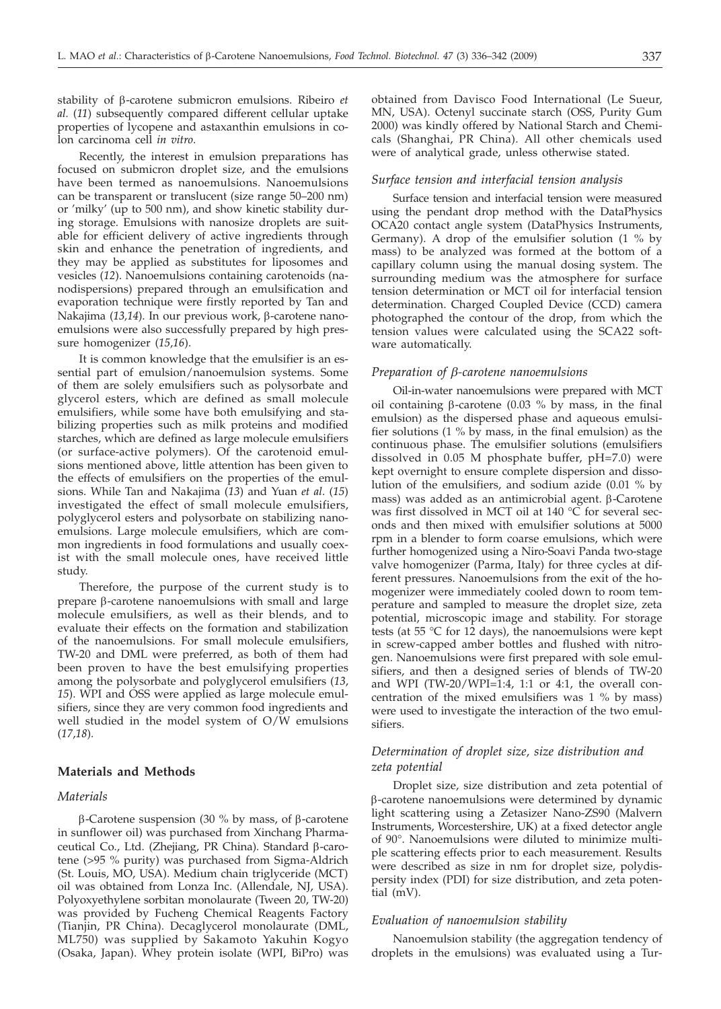stability of b-carotene submicron emulsions. Ribeiro *et al.* (*11*) subsequently compared different cellular uptake properties of lycopene and astaxanthin emulsions in colon carcinoma cell *in vitro*.

Recently, the interest in emulsion preparations has focused on submicron droplet size, and the emulsions have been termed as nanoemulsions. Nanoemulsions can be transparent or translucent (size range 50–200 nm) or 'milky' (up to 500 nm), and show kinetic stability during storage. Emulsions with nanosize droplets are suitable for efficient delivery of active ingredients through skin and enhance the penetration of ingredients, and they may be applied as substitutes for liposomes and vesicles (*12*). Nanoemulsions containing carotenoids (nanodispersions) prepared through an emulsification and evaporation technique were firstly reported by Tan and Nakajima (13,14). In our previous work, β-carotene nanoemulsions were also successfully prepared by high pressure homogenizer (*15*,*16*).

It is common knowledge that the emulsifier is an essential part of emulsion/nanoemulsion systems. Some of them are solely emulsifiers such as polysorbate and glycerol esters, which are defined as small molecule emulsifiers, while some have both emulsifying and stabilizing properties such as milk proteins and modified starches, which are defined as large molecule emulsifiers (or surface-active polymers). Of the carotenoid emulsions mentioned above, little attention has been given to the effects of emulsifiers on the properties of the emulsions. While Tan and Nakajima (*13*) and Yuan *et al*. (*15*) investigated the effect of small molecule emulsifiers, polyglycerol esters and polysorbate on stabilizing nanoemulsions. Large molecule emulsifiers, which are common ingredients in food formulations and usually coexist with the small molecule ones, have received little study.

Therefore, the purpose of the current study is to prepare  $\beta$ -carotene nanoemulsions with small and large molecule emulsifiers, as well as their blends, and to evaluate their effects on the formation and stabilization of the nanoemulsions. For small molecule emulsifiers, TW-20 and DML were preferred, as both of them had been proven to have the best emulsifying properties among the polysorbate and polyglycerol emulsifiers (*13*, *15*). WPI and OSS were applied as large molecule emulsifiers, since they are very common food ingredients and well studied in the model system of O/W emulsions (*17*,*18*).

# **Materials and Methods**

## *Materials*

 $\beta$ -Carotene suspension (30 % by mass, of  $\beta$ -carotene in sunflower oil) was purchased from Xinchang Pharmaceutical Co., Ltd. (Zhejiang, PR China). Standard b-carotene (>95 % purity) was purchased from Sigma-Aldrich (St. Louis, MO, USA). Medium chain triglyceride (MCT) oil was obtained from Lonza Inc. (Allendale, NJ, USA). Polyoxyethylene sorbitan monolaurate (Tween 20, TW-20) was provided by Fucheng Chemical Reagents Factory (Tianjin, PR China). Decaglycerol monolaurate (DML, ML750) was supplied by Sakamoto Yakuhin Kogyo (Osaka, Japan). Whey protein isolate (WPI, BiPro) was

obtained from Davisco Food International (Le Sueur, MN, USA). Octenyl succinate starch (OSS, Purity Gum 2000) was kindly offered by National Starch and Chemicals (Shanghai, PR China). All other chemicals used were of analytical grade, unless otherwise stated.

#### *Surface tension and interfacial tension analysis*

Surface tension and interfacial tension were measured using the pendant drop method with the DataPhysics OCA20 contact angle system (DataPhysics Instruments, Germany). A drop of the emulsifier solution (1 % by mass) to be analyzed was formed at the bottom of a capillary column using the manual dosing system. The surrounding medium was the atmosphere for surface tension determination or MCT oil for interfacial tension determination. Charged Coupled Device (CCD) camera photographed the contour of the drop, from which the tension values were calculated using the SCA22 software automatically.

#### *Preparation of b-carotene nanoemulsions*

Oil-in-water nanoemulsions were prepared with MCT oil containing  $\beta$ -carotene (0.03 % by mass, in the final emulsion) as the dispersed phase and aqueous emulsifier solutions (1 % by mass, in the final emulsion) as the continuous phase. The emulsifier solutions (emulsifiers dissolved in 0.05 M phosphate buffer, pH=7.0) were kept overnight to ensure complete dispersion and dissolution of the emulsifiers, and sodium azide (0.01 % by mass) was added as an antimicrobial agent.  $\beta$ -Carotene was first dissolved in MCT oil at 140 °C for several seconds and then mixed with emulsifier solutions at 5000 rpm in a blender to form coarse emulsions, which were further homogenized using a Niro-Soavi Panda two-stage valve homogenizer (Parma, Italy) for three cycles at different pressures. Nanoemulsions from the exit of the homogenizer were immediately cooled down to room temperature and sampled to measure the droplet size, zeta potential, microscopic image and stability. For storage tests (at 55  $\degree$ C for 12 days), the nanoemulsions were kept in screw-capped amber bottles and flushed with nitrogen. Nanoemulsions were first prepared with sole emulsifiers, and then a designed series of blends of TW-20 and WPI (TW-20/WPI=1:4, 1:1 or 4:1, the overall concentration of the mixed emulsifiers was 1 % by mass) were used to investigate the interaction of the two emulsifiers.

# *Determination of droplet size, size distribution and zeta potential*

Droplet size, size distribution and zeta potential of b-carotene nanoemulsions were determined by dynamic light scattering using a Zetasizer Nano-ZS90 (Malvern Instruments, Worcestershire, UK) at a fixed detector angle of 90°. Nanoemulsions were diluted to minimize multiple scattering effects prior to each measurement. Results were described as size in nm for droplet size, polydispersity index (PDI) for size distribution, and zeta potential (mV).

## *Evaluation of nanoemulsion stability*

Nanoemulsion stability (the aggregation tendency of droplets in the emulsions) was evaluated using a Tur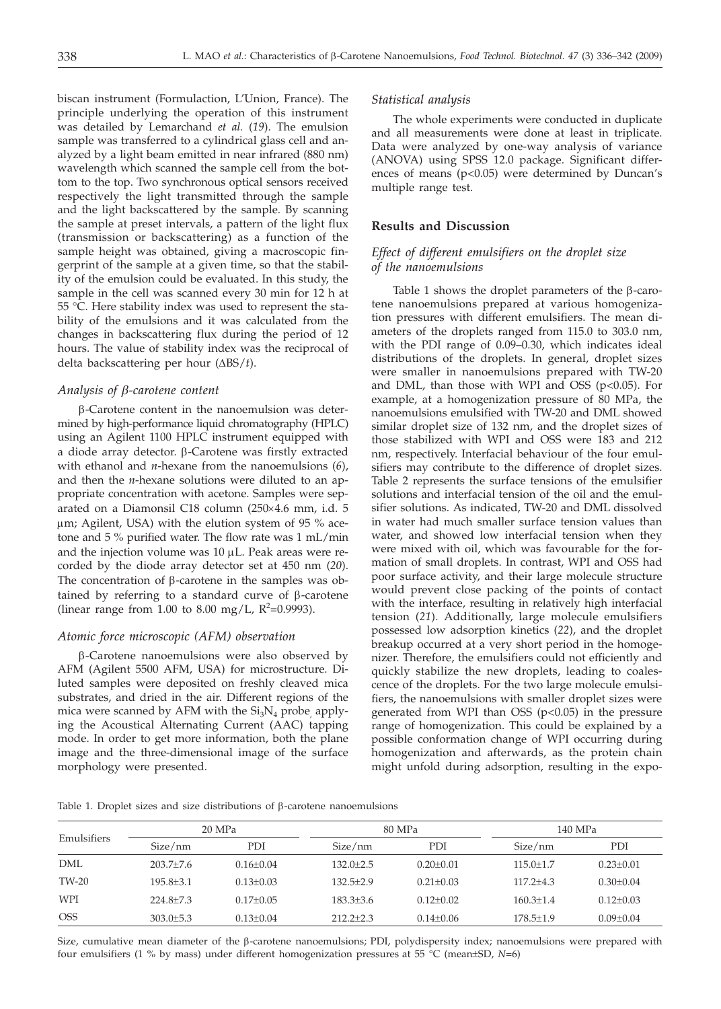biscan instrument (Formulaction, L'Union, France). The principle underlying the operation of this instrument was detailed by Lemarchand *et al.* (*19*). The emulsion sample was transferred to a cylindrical glass cell and analyzed by a light beam emitted in near infrared (880 nm) wavelength which scanned the sample cell from the bottom to the top. Two synchronous optical sensors received respectively the light transmitted through the sample and the light backscattered by the sample. By scanning the sample at preset intervals, a pattern of the light flux (transmission or backscattering) as a function of the sample height was obtained, giving a macroscopic fingerprint of the sample at a given time, so that the stability of the emulsion could be evaluated. In this study, the sample in the cell was scanned every 30 min for 12 h at 55 °C. Here stability index was used to represent the stability of the emulsions and it was calculated from the changes in backscattering flux during the period of 12 hours. The value of stability index was the reciprocal of delta backscattering per hour (ΔBS/*t*).

#### *Analysis of b-carotene content*

b-Carotene content in the nanoemulsion was determined by high-performance liquid chromatography (HPLC) using an Agilent 1100 HPLC instrument equipped with a diode array detector.  $\beta$ -Carotene was firstly extracted with ethanol and *n*-hexane from the nanoemulsions (*6*), and then the *n*-hexane solutions were diluted to an appropriate concentration with acetone. Samples were separated on a Diamonsil C18 column ( $250 \times 4.6$  mm, i.d. 5  $\mu$ m; Agilent, USA) with the elution system of 95 % acetone and 5 % purified water. The flow rate was 1 mL/min and the injection volume was  $10 \mu L$ . Peak areas were recorded by the diode array detector set at 450 nm (*20*). The concentration of  $\beta$ -carotene in the samples was obtained by referring to a standard curve of  $\beta$ -carotene (linear range from 1.00 to 8.00 mg/L,  $R^2$ =0.9993).

## *Atomic force microscopic (AFM) observation*

b-Carotene nanoemulsions were also observed by AFM (Agilent 5500 AFM, USA) for microstructure. Diluted samples were deposited on freshly cleaved mica substrates, and dried in the air. Different regions of the mica were scanned by AFM with the  $Si<sub>3</sub>N<sub>4</sub>$  probe, applying the Acoustical Alternating Current (AAC) tapping mode. In order to get more information, both the plane image and the three-dimensional image of the surface morphology were presented.

#### *Statistical analysis*

The whole experiments were conducted in duplicate and all measurements were done at least in triplicate. Data were analyzed by one-way analysis of variance (ANOVA) using SPSS 12.0 package. Significant differences of means (p<0.05) were determined by Duncan's multiple range test.

## **Results and Discussion**

# *Effect of different emulsifiers on the droplet size of the nanoemulsions*

Table 1 shows the droplet parameters of the  $\beta$ -carotene nanoemulsions prepared at various homogenization pressures with different emulsifiers. The mean diameters of the droplets ranged from 115.0 to 303.0 nm, with the PDI range of 0.09–0.30, which indicates ideal distributions of the droplets. In general, droplet sizes were smaller in nanoemulsions prepared with TW-20 and DML, than those with WPI and OSS ( $p<0.05$ ). For example, at a homogenization pressure of 80 MPa, the nanoemulsions emulsified with TW-20 and DML showed similar droplet size of 132 nm, and the droplet sizes of those stabilized with WPI and OSS were 183 and 212 nm, respectively. Interfacial behaviour of the four emulsifiers may contribute to the difference of droplet sizes. Table 2 represents the surface tensions of the emulsifier solutions and interfacial tension of the oil and the emulsifier solutions. As indicated, TW-20 and DML dissolved in water had much smaller surface tension values than water, and showed low interfacial tension when they were mixed with oil, which was favourable for the formation of small droplets. In contrast, WPI and OSS had poor surface activity, and their large molecule structure would prevent close packing of the points of contact with the interface, resulting in relatively high interfacial tension (*21*). Additionally, large molecule emulsifiers possessed low adsorption kinetics (*22*), and the droplet breakup occurred at a very short period in the homogenizer. Therefore, the emulsifiers could not efficiently and quickly stabilize the new droplets, leading to coalescence of the droplets. For the two large molecule emulsifiers, the nanoemulsions with smaller droplet sizes were generated from WPI than OSS  $(p<0.05)$  in the pressure range of homogenization. This could be explained by a possible conformation change of WPI occurring during homogenization and afterwards, as the protein chain might unfold during adsorption, resulting in the expo-

Table 1. Droplet sizes and size distributions of  $\beta$ -carotene nanoemulsions

| Emulsifiers | 20 MPa          |                 | 80 MPa        |                 | 140 MPa       |                 |
|-------------|-----------------|-----------------|---------------|-----------------|---------------|-----------------|
|             | Size/nm         | PDI             | Size/nm       | PDI             | Size/nm       | PDI             |
| <b>DML</b>  | $203.7 \pm 7.6$ | $0.16 + 0.04$   | $132.0 + 2.5$ | $0.20 \pm 0.01$ | $115.0 + 1.7$ | $0.23 \pm 0.01$ |
| TW-20       | $195.8 + 3.1$   | $0.13 + 0.03$   | $132.5 + 2.9$ | $0.21 + 0.03$   | $117.2 + 4.3$ | $0.30 + 0.04$   |
| WPI         | $224.8 + 7.3$   | $0.17+0.05$     | $183.3+3.6$   | $0.12 + 0.02$   | $160.3 + 1.4$ | $0.12 + 0.03$   |
| <b>OSS</b>  | $303.0 \pm 5.3$ | $0.13 \pm 0.04$ | $212.2+2.3$   | $0.14 \pm 0.06$ | $178.5 + 1.9$ | $0.09 \pm 0.04$ |

Size, cumulative mean diameter of the  $\beta$ -carotene nanoemulsions; PDI, polydispersity index; nanoemulsions were prepared with four emulsifiers (1 % by mass) under different homogenization pressures at 55 °C (mean±SD, *N*=6)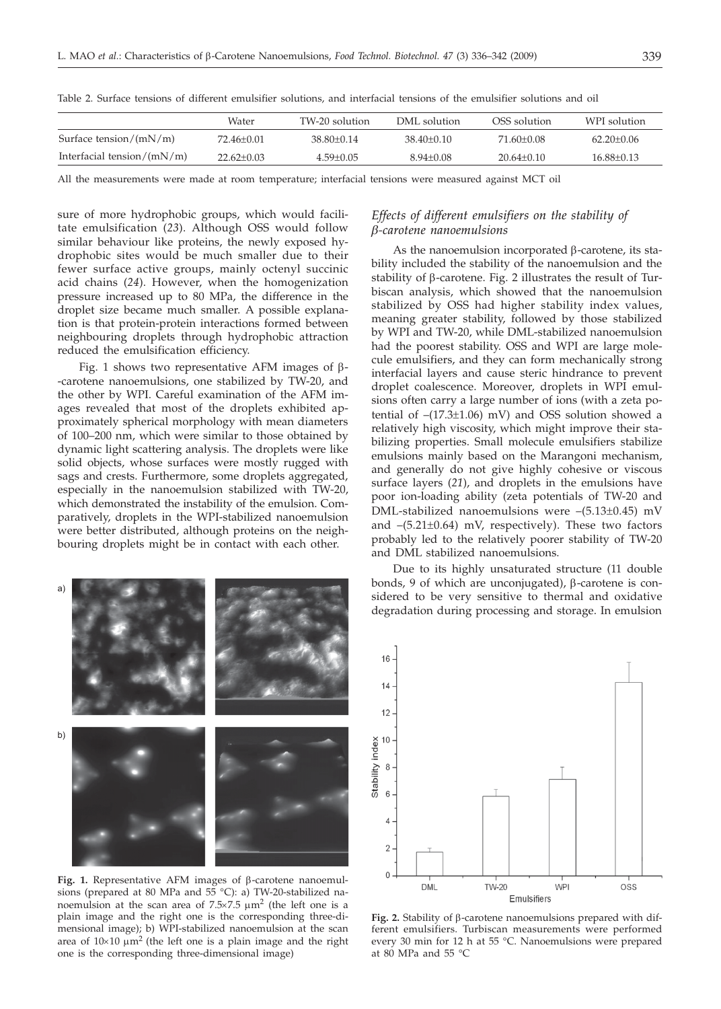|                               | Water            | TW-20 solution | DML solution   | OSS solution   | WPI solution     |
|-------------------------------|------------------|----------------|----------------|----------------|------------------|
| Surface tension/ $(mN/m)$     | 72.46+0.01       | $38.80 + 0.14$ | $38.40 + 0.10$ | 71.60+0.08     | $62.20 \pm 0.06$ |
| Interfacial tension/ $(mN/m)$ | $22.62 \pm 0.03$ | $4.59 + 0.05$  | $8.94 + 0.08$  | $20.64 + 0.10$ | $16.88 \pm 0.13$ |

Table 2. Surface tensions of different emulsifier solutions, and interfacial tensions of the emulsifier solutions and oil

All the measurements were made at room temperature; interfacial tensions were measured against MCT oil

sure of more hydrophobic groups, which would facilitate emulsification (*23*). Although OSS would follow similar behaviour like proteins, the newly exposed hydrophobic sites would be much smaller due to their fewer surface active groups, mainly octenyl succinic acid chains (*24*). However, when the homogenization pressure increased up to 80 MPa, the difference in the droplet size became much smaller. A possible explanation is that protein-protein interactions formed between neighbouring droplets through hydrophobic attraction reduced the emulsification efficiency.

Fig. 1 shows two representative AFM images of  $\beta$ --carotene nanoemulsions, one stabilized by TW-20, and the other by WPI. Careful examination of the AFM images revealed that most of the droplets exhibited approximately spherical morphology with mean diameters of 100–200 nm, which were similar to those obtained by dynamic light scattering analysis. The droplets were like solid objects, whose surfaces were mostly rugged with sags and crests. Furthermore, some droplets aggregated, especially in the nanoemulsion stabilized with TW-20, which demonstrated the instability of the emulsion. Comparatively, droplets in the WPI-stabilized nanoemulsion were better distributed, although proteins on the neighbouring droplets might be in contact with each other.



Fig. 1. Representative AFM images of  $\beta$ -carotene nanoemulsions (prepared at 80 MPa and 55 °C): a) TW-20-stabilized nanoemulsion at the scan area of  $7.5 \times 7.5$   $\mu$ m<sup>2</sup> (the left one is a plain image and the right one is the corresponding three-dimensional image); b) WPI-stabilized nanoemulsion at the scan area of  $10\times10 \mu m^2$  (the left one is a plain image and the right one is the corresponding three-dimensional image)

# *Effects of different emulsifiers on the stability of b-carotene nanoemulsions*

As the nanoemulsion incorporated  $\beta$ -carotene, its stability included the stability of the nanoemulsion and the stability of  $\beta$ -carotene. Fig. 2 illustrates the result of Turbiscan analysis, which showed that the nanoemulsion stabilized by OSS had higher stability index values, meaning greater stability, followed by those stabilized by WPI and TW-20, while DML-stabilized nanoemulsion had the poorest stability. OSS and WPI are large molecule emulsifiers, and they can form mechanically strong interfacial layers and cause steric hindrance to prevent droplet coalescence. Moreover, droplets in WPI emulsions often carry a large number of ions (with a zeta potential of –(17.3±1.06) mV) and OSS solution showed a relatively high viscosity, which might improve their stabilizing properties. Small molecule emulsifiers stabilize emulsions mainly based on the Marangoni mechanism, and generally do not give highly cohesive or viscous surface layers (*21*), and droplets in the emulsions have poor ion-loading ability (zeta potentials of TW-20 and DML-stabilized nanoemulsions were –(5.13±0.45) mV and  $-(5.21\pm0.64)$  mV, respectively). These two factors probably led to the relatively poorer stability of TW-20 and DML stabilized nanoemulsions.

Due to its highly unsaturated structure (11 double bonds, 9 of which are unconjugated),  $\beta$ -carotene is considered to be very sensitive to thermal and oxidative degradation during processing and storage. In emulsion



**Fig. 2.** Stability of  $\beta$ -carotene nanoemulsions prepared with different emulsifiers. Turbiscan measurements were performed every 30 min for 12 h at 55 °C. Nanoemulsions were prepared at 80 MPa and 55 °C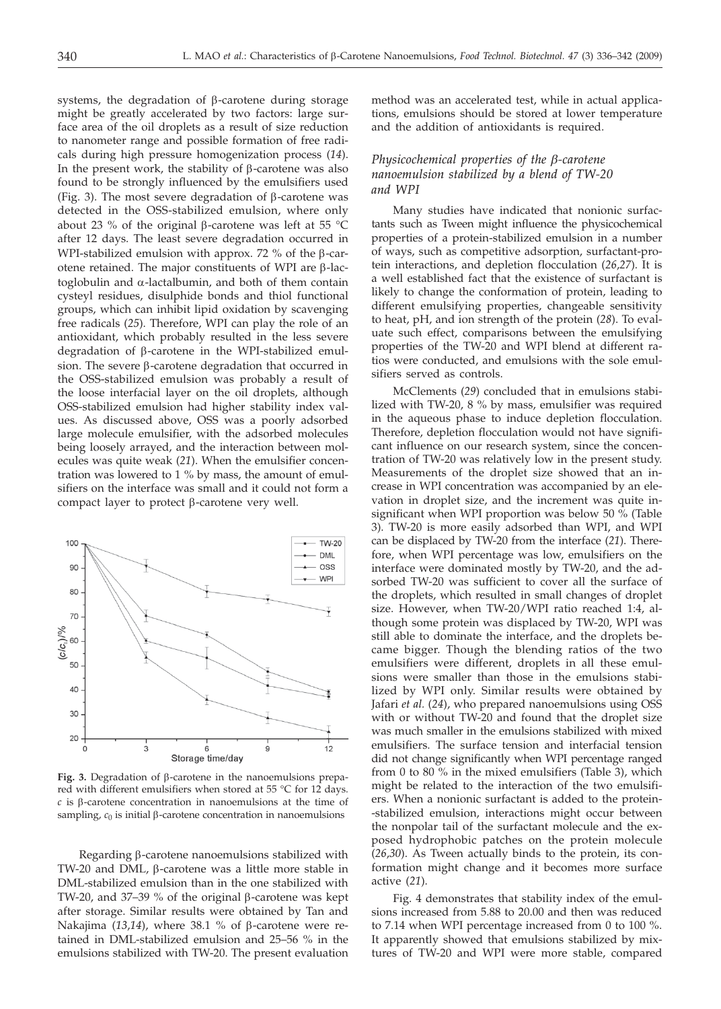systems, the degradation of  $\beta$ -carotene during storage might be greatly accelerated by two factors: large surface area of the oil droplets as a result of size reduction to nanometer range and possible formation of free radicals during high pressure homogenization process (*14*). In the present work, the stability of  $\beta$ -carotene was also found to be strongly influenced by the emulsifiers used (Fig. 3). The most severe degradation of  $\beta$ -carotene was detected in the OSS-stabilized emulsion, where only about 23 % of the original B-carotene was left at 55  $^{\circ}$ C after 12 days. The least severe degradation occurred in WPI-stabilized emulsion with approx. 72 % of the  $\beta$ -carotene retained. The major constituents of WPI are  $\beta$ -lactoglobulin and a-lactalbumin, and both of them contain cysteyl residues, disulphide bonds and thiol functional groups, which can inhibit lipid oxidation by scavenging free radicals (*25*). Therefore, WPI can play the role of an antioxidant, which probably resulted in the less severe degradation of  $\beta$ -carotene in the WPI-stabilized emulsion. The severe  $\beta$ -carotene degradation that occurred in the OSS-stabilized emulsion was probably a result of the loose interfacial layer on the oil droplets, although OSS-stabilized emulsion had higher stability index values. As discussed above, OSS was a poorly adsorbed large molecule emulsifier, with the adsorbed molecules being loosely arrayed, and the interaction between molecules was quite weak (*21*). When the emulsifier concentration was lowered to 1 % by mass, the amount of emulsifiers on the interface was small and it could not form a compact layer to protect  $\beta$ -carotene very well.



**Fig. 3.** Degradation of b-carotene in the nanoemulsions prepared with different emulsifiers when stored at 55 °C for 12 days.  $c$  is  $\beta$ -carotene concentration in nanoemulsions at the time of sampling,  $c_0$  is initial  $\beta$ -carotene concentration in nanoemulsions

Regarding  $\beta$ -carotene nanoemulsions stabilized with TW-20 and DML, b-carotene was a little more stable in DML-stabilized emulsion than in the one stabilized with TW-20, and 37–39 % of the original  $\beta$ -carotene was kept after storage. Similar results were obtained by Tan and Nakajima (13,14), where 38.1 % of B-carotene were retained in DML-stabilized emulsion and 25–56 % in the emulsions stabilized with TW-20. The present evaluation

method was an accelerated test, while in actual applications, emulsions should be stored at lower temperature and the addition of antioxidants is required.

## *Physicochemical properties of the b-carotene nanoemulsion stabilized by a blend of TW-20 and WPI*

Many studies have indicated that nonionic surfactants such as Tween might influence the physicochemical properties of a protein-stabilized emulsion in a number of ways, such as competitive adsorption, surfactant-protein interactions, and depletion flocculation (*26*,*27*). It is a well established fact that the existence of surfactant is likely to change the conformation of protein, leading to different emulsifying properties, changeable sensitivity to heat, pH, and ion strength of the protein (*28*). To evaluate such effect, comparisons between the emulsifying properties of the TW-20 and WPI blend at different ratios were conducted, and emulsions with the sole emulsifiers served as controls.

McClements (*29*) concluded that in emulsions stabilized with TW-20, 8 % by mass, emulsifier was required in the aqueous phase to induce depletion flocculation. Therefore, depletion flocculation would not have significant influence on our research system, since the concentration of TW-20 was relatively low in the present study. Measurements of the droplet size showed that an increase in WPI concentration was accompanied by an elevation in droplet size, and the increment was quite insignificant when WPI proportion was below 50 % (Table 3). TW-20 is more easily adsorbed than WPI, and WPI can be displaced by TW-20 from the interface (*21*). Therefore, when WPI percentage was low, emulsifiers on the interface were dominated mostly by TW-20, and the adsorbed TW-20 was sufficient to cover all the surface of the droplets, which resulted in small changes of droplet size. However, when TW-20/WPI ratio reached 1:4, although some protein was displaced by TW-20, WPI was still able to dominate the interface, and the droplets became bigger. Though the blending ratios of the two emulsifiers were different, droplets in all these emulsions were smaller than those in the emulsions stabilized by WPI only. Similar results were obtained by Jafari *et al.* (*24*), who prepared nanoemulsions using OSS with or without TW-20 and found that the droplet size was much smaller in the emulsions stabilized with mixed emulsifiers. The surface tension and interfacial tension did not change significantly when WPI percentage ranged from 0 to 80 % in the mixed emulsifiers (Table 3), which might be related to the interaction of the two emulsifiers. When a nonionic surfactant is added to the protein- -stabilized emulsion, interactions might occur between the nonpolar tail of the surfactant molecule and the exposed hydrophobic patches on the protein molecule (*26*,*30*). As Tween actually binds to the protein, its conformation might change and it becomes more surface active (*21*).

Fig. 4 demonstrates that stability index of the emulsions increased from 5.88 to 20.00 and then was reduced to 7.14 when WPI percentage increased from 0 to 100 %. It apparently showed that emulsions stabilized by mixtures of TW-20 and WPI were more stable, compared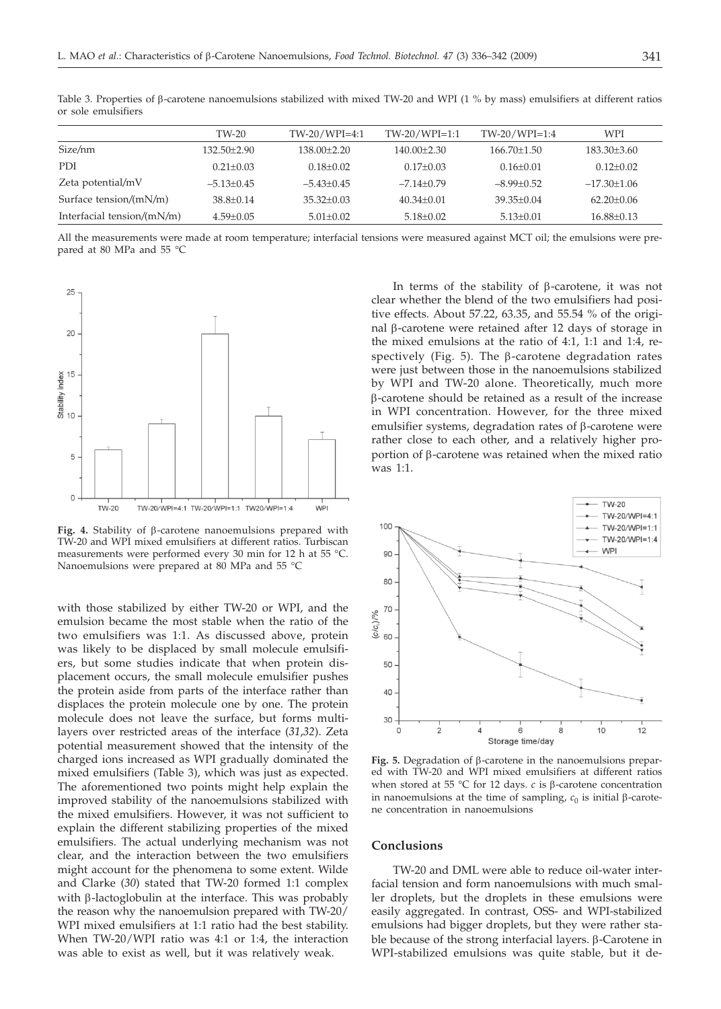|                               | TW-20           | $TW-20/WPI=4:1$ | $TW-20/WPI=1:1$ | $TW-20/WPI=1:4$   | WPI              |
|-------------------------------|-----------------|-----------------|-----------------|-------------------|------------------|
| Size/nm                       | $132.50 + 2.90$ | $138.00+2.20$   | $140.00+2.30$   | $166.70 \pm 1.50$ | $183.30\pm3.60$  |
| PDI                           | $0.21 \pm 0.03$ | $0.18 + 0.02$   | $0.17+0.03$     | $0.16 + 0.01$     | $0.12 + 0.02$    |
| Zeta potential/mV             | $-5.13+0.45$    | $-5.43+0.45$    | $-7.14+0.79$    | $-8.99+0.52$      | $-17.30+1.06$    |
| Surface tension/(mN/m)        | $38.8 + 0.14$   | $35.32 + 0.03$  | $40.34 + 0.01$  | $39.35 + 0.04$    | $62.20+0.06$     |
| Interfacial tension/ $(mN/m)$ | $4.59 + 0.05$   | $5.01 \pm 0.02$ | $5.18 + 0.02$   | $5.13 + 0.01$     | $16.88 \pm 0.13$ |

Table 3. Properties of  $\beta$ -carotene nanoemulsions stabilized with mixed TW-20 and WPI (1 % by mass) emulsifiers at different ratios or sole emulsifiers

All the measurements were made at room temperature; interfacial tensions were measured against MCT oil; the emulsions were prepared at 80 MPa and 55 °C



**Fig. 4.** Stability of b-carotene nanoemulsions prepared with TW-20 and WPI mixed emulsifiers at different ratios. Turbiscan measurements were performed every 30 min for 12 h at 55 °C. Nanoemulsions were prepared at 80 MPa and 55 °C

with those stabilized by either TW-20 or WPI, and the emulsion became the most stable when the ratio of the two emulsifiers was 1:1. As discussed above, protein was likely to be displaced by small molecule emulsifiers, but some studies indicate that when protein displacement occurs, the small molecule emulsifier pushes the protein aside from parts of the interface rather than displaces the protein molecule one by one. The protein molecule does not leave the surface, but forms multilayers over restricted areas of the interface (*31*,*32*). Zeta potential measurement showed that the intensity of the charged ions increased as WPI gradually dominated the mixed emulsifiers (Table 3), which was just as expected. The aforementioned two points might help explain the improved stability of the nanoemulsions stabilized with the mixed emulsifiers. However, it was not sufficient to explain the different stabilizing properties of the mixed emulsifiers. The actual underlying mechanism was not clear, and the interaction between the two emulsifiers might account for the phenomena to some extent. Wilde and Clarke (*30*) stated that TW-20 formed 1:1 complex with B-lactoglobulin at the interface. This was probably the reason why the nanoemulsion prepared with TW-20/ WPI mixed emulsifiers at 1:1 ratio had the best stability. When TW-20/WPI ratio was 4:1 or 1:4, the interaction was able to exist as well, but it was relatively weak.

In terms of the stability of  $\beta$ -carotene, it was not clear whether the blend of the two emulsifiers had positive effects. About 57.22, 63.35, and 55.54 % of the original  $\beta$ -carotene were retained after 12 days of storage in the mixed emulsions at the ratio of 4:1, 1:1 and 1:4, respectively (Fig. 5). The  $\beta$ -carotene degradation rates were just between those in the nanoemulsions stabilized by WPI and TW-20 alone. Theoretically, much more b-carotene should be retained as a result of the increase in WPI concentration. However, for the three mixed emulsifier systems, degradation rates of  $\beta$ -carotene were rather close to each other, and a relatively higher proportion of b-carotene was retained when the mixed ratio was 1:1.



**Fig. 5.** Degradation of b-carotene in the nanoemulsions prepared with TW-20 and WPI mixed emulsifiers at different ratios when stored at 55 °C for 12 days.  $c$  is  $\beta$ -carotene concentration in nanoemulsions at the time of sampling,  $c_0$  is initial  $\beta$ -carotene concentration in nanoemulsions

## **Conclusions**

TW-20 and DML were able to reduce oil-water interfacial tension and form nanoemulsions with much smaller droplets, but the droplets in these emulsions were easily aggregated. In contrast, OSS- and WPI-stabilized emulsions had bigger droplets, but they were rather stable because of the strong interfacial layers.  $\beta$ -Carotene in WPI-stabilized emulsions was quite stable, but it de